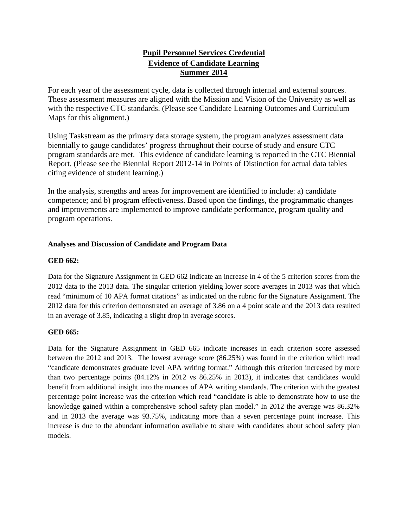# **Pupil Personnel Services Credential Evidence of Candidate Learning Summer 2014**

For each year of the assessment cycle, data is collected through internal and external sources. These assessment measures are aligned with the Mission and Vision of the University as well as with the respective CTC standards. (Please see Candidate Learning Outcomes and Curriculum Maps for this alignment.)

Using Taskstream as the primary data storage system, the program analyzes assessment data biennially to gauge candidates' progress throughout their course of study and ensure CTC program standards are met. This evidence of candidate learning is reported in the CTC Biennial Report. (Please see the Biennial Report 2012-14 in Points of Distinction for actual data tables citing evidence of student learning.)

In the analysis, strengths and areas for improvement are identified to include: a) candidate competence; and b) program effectiveness. Based upon the findings, the programmatic changes and improvements are implemented to improve candidate performance, program quality and program operations.

## **Analyses and Discussion of Candidate and Program Data**

## **GED 662:**

Data for the Signature Assignment in GED 662 indicate an increase in 4 of the 5 criterion scores from the 2012 data to the 2013 data. The singular criterion yielding lower score averages in 2013 was that which read "minimum of 10 APA format citations" as indicated on the rubric for the Signature Assignment. The 2012 data for this criterion demonstrated an average of 3.86 on a 4 point scale and the 2013 data resulted in an average of 3.85, indicating a slight drop in average scores.

## **GED 665:**

Data for the Signature Assignment in GED 665 indicate increases in each criterion score assessed between the 2012 and 2013. The lowest average score (86.25%) was found in the criterion which read "candidate demonstrates graduate level APA writing format." Although this criterion increased by more than two percentage points (84.12% in 2012 vs 86.25% in 2013), it indicates that candidates would benefit from additional insight into the nuances of APA writing standards. The criterion with the greatest percentage point increase was the criterion which read "candidate is able to demonstrate how to use the knowledge gained within a comprehensive school safety plan model." In 2012 the average was 86.32% and in 2013 the average was 93.75%, indicating more than a seven percentage point increase. This increase is due to the abundant information available to share with candidates about school safety plan models.